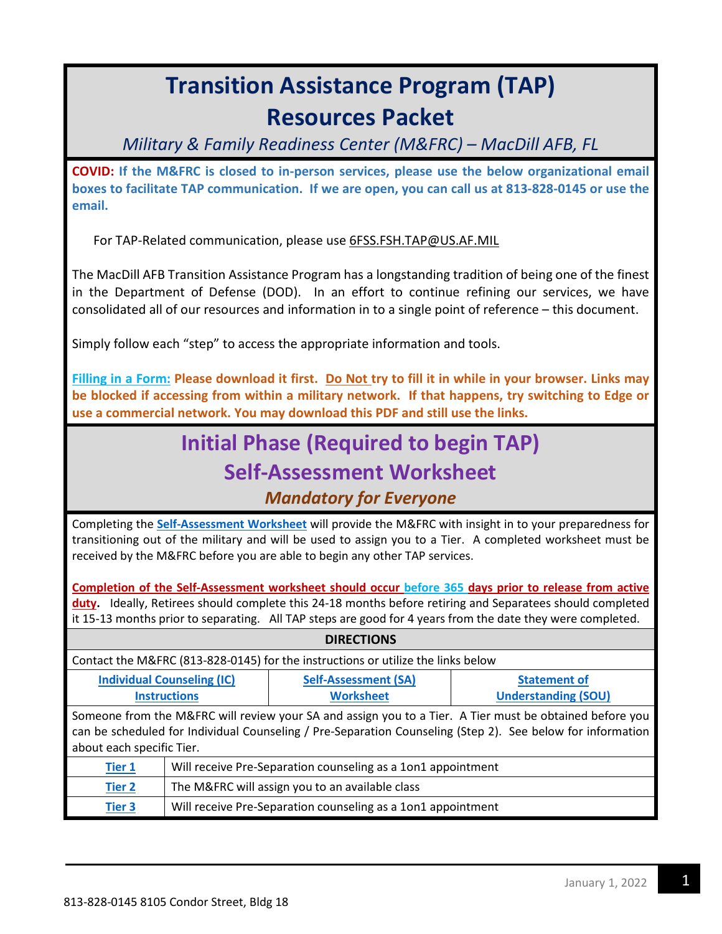# **Transition Assistance Program (TAP) Resources Packet**

*Military & Family Readiness Center (M&FRC) – MacDill AFB, FL*

**COVID: If the M&FRC is closed to in-person services, please use the below organizational email boxes to facilitate TAP communication. If we are open, you can call us at 813-828-0145 or use the email.** 

For TAP-Related communication, please use [6FSS.FSH.TAP@US.AF.MIL](mailto:6FSS.FSH.TAP@US.AF.MIL) 

The MacDill AFB Transition Assistance Program has a longstanding tradition of being one of the finest in the Department of Defense (DOD). In an effort to continue refining our services, we have consolidated all of our resources and information in to a single point of reference – this document.

Simply follow each "step" to access the appropriate information and tools.

**Filling in a Form: Please download it first. Do Not try to fill it in while in your browser. Links may be blocked if accessing from within a military network. If that happens, try switching to Edge or use a commercial network. You may download this PDF and still use the links.** 

### **Initial Phase (Required to begin TAP) Self-Assessment Worksheet**

#### *Mandatory for Everyone*

Completing the **[Self-Assessment Worksheet](https://macdillfss.com/tap_selfassessmentworksheet/)** will provide the M&FRC with insight in to your preparedness for transitioning out of the military and will be used to assign you to a Tier. A completed worksheet must be received by the M&FRC before you are able to begin any other TAP services.

**Completion of the Self-Assessment worksheet should occur before 365 days prior to release from active duty.** Ideally, Retirees should complete this 24-18 months before retiring and Separatees should completed it 15-13 months prior to separating. All TAP steps are good for 4 years from the date they were completed.

| <b>DIRECTIONS</b>                                                                                          |                                                              |                             |                            |
|------------------------------------------------------------------------------------------------------------|--------------------------------------------------------------|-----------------------------|----------------------------|
| Contact the M&FRC (813-828-0145) for the instructions or utilize the links below                           |                                                              |                             |                            |
| <b>Individual Counseling (IC)</b>                                                                          |                                                              | <b>Self-Assessment (SA)</b> | <b>Statement of</b>        |
| <b>Instructions</b>                                                                                        |                                                              | <b>Worksheet</b>            | <b>Understanding (SOU)</b> |
| Someone from the M&FRC will review your SA and assign you to a Tier. A Tier must be obtained before you    |                                                              |                             |                            |
| can be scheduled for Individual Counseling / Pre-Separation Counseling (Step 2). See below for information |                                                              |                             |                            |
| about each specific Tier.                                                                                  |                                                              |                             |                            |
| <b>Tier 1</b>                                                                                              | Will receive Pre-Separation counseling as a 1on1 appointment |                             |                            |
| <b>Tier 2</b>                                                                                              | The M&FRC will assign you to an available class              |                             |                            |
| <b>Tier 3</b>                                                                                              | Will receive Pre-Separation counseling as a 1on1 appointment |                             |                            |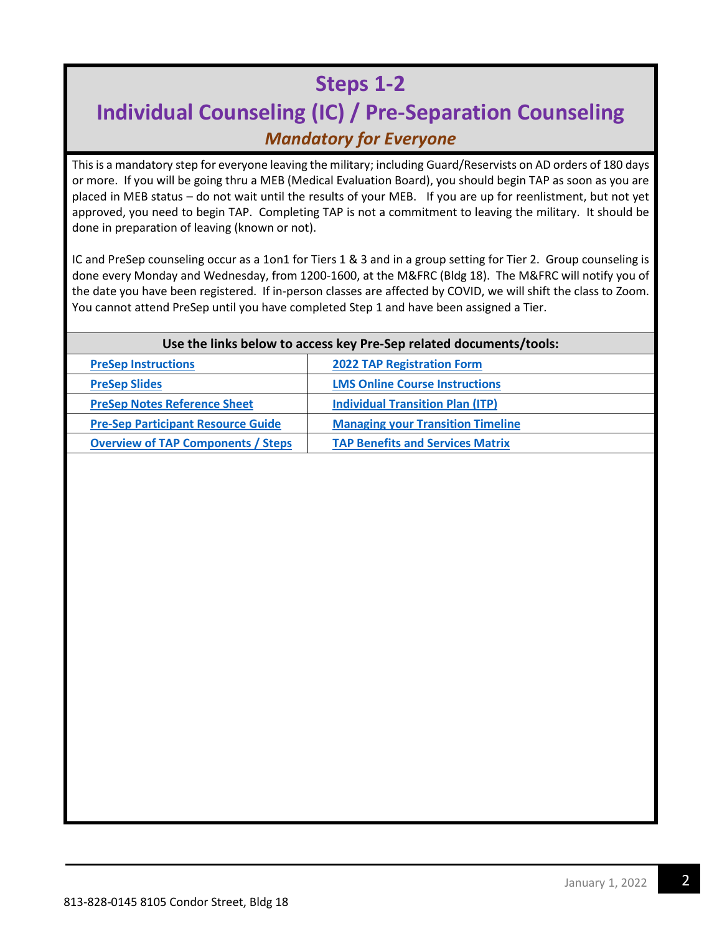### **Steps 1-2**

### **Individual Counseling (IC) / Pre-Separation Counseling**  *Mandatory for Everyone*

This is a mandatory step for everyone leaving the military; including Guard/Reservists on AD orders of 180 days or more. If you will be going thru a MEB (Medical Evaluation Board), you should begin TAP as soon as you are placed in MEB status – do not wait until the results of your MEB. If you are up for reenlistment, but not yet approved, you need to begin TAP. Completing TAP is not a commitment to leaving the military. It should be done in preparation of leaving (known or not).

IC and PreSep counseling occur as a 1on1 for Tiers 1 & 3 and in a group setting for Tier 2. Group counseling is done every Monday and Wednesday, from 1200-1600, at the M&FRC (Bldg 18). The M&FRC will notify you of the date you have been registered. If in-person classes are affected by COVID, we will shift the class to Zoom. You cannot attend PreSep until you have completed Step 1 and have been assigned a Tier.

#### **Use the links below to access key Pre-Sep related documents/tools:**

| <b>PreSep Instructions</b>                | <b>2022 TAP Registration Form</b>        |
|-------------------------------------------|------------------------------------------|
| <b>PreSep Slides</b>                      | <b>LMS Online Course Instructions</b>    |
| <b>PreSep Notes Reference Sheet</b>       | <b>Individual Transition Plan (ITP)</b>  |
| <b>Pre-Sep Participant Resource Guide</b> | <b>Managing your Transition Timeline</b> |
| <b>Overview of TAP Components / Steps</b> | <b>TAP Benefits and Services Matrix</b>  |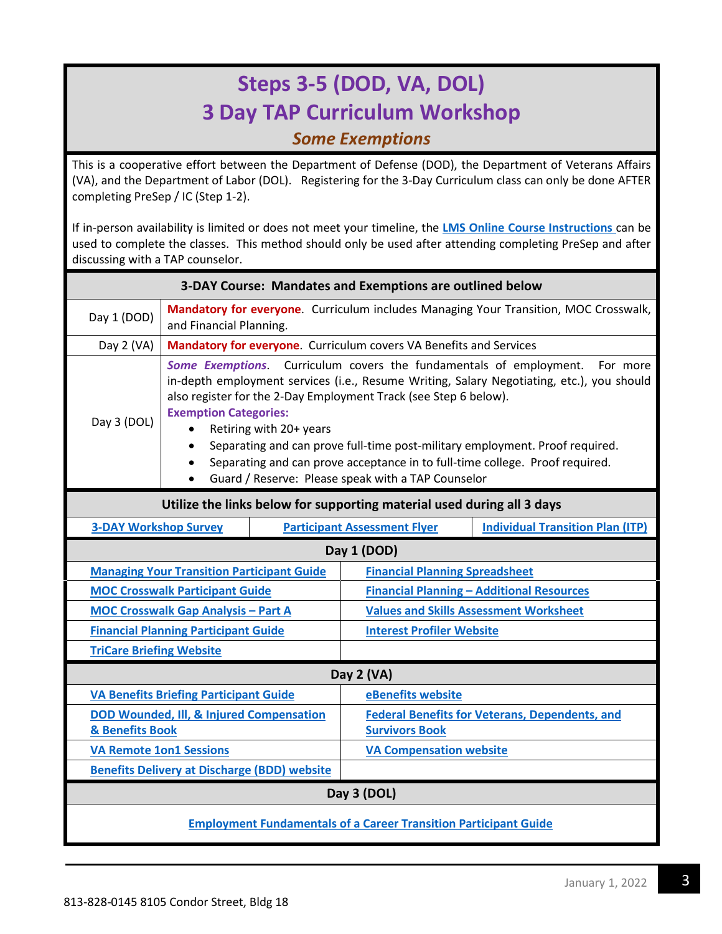### **Steps 3-5 (DOD, VA, DOL) 3 Day TAP Curriculum Workshop**  *Some Exemptions*

This is a cooperative effort between the Department of Defense (DOD), the Department of Veterans Affairs (VA), and the Department of Labor (DOL). Registering for the 3-Day Curriculum class can only be done AFTER completing PreSep / IC (Step 1-2).

If in-person availability is limited or does not meet your timeline, the **[LMS Online Course Instructions](https://macdillfss.com/tap_lmsinstructions/)** can be used to complete the classes. This method should only be used after attending completing PreSep and after discussing with a TAP counselor.

| 3-DAY Course: Mandates and Exemptions are outlined below                                                                                                                                                                                                                                                                                                                                                                                                                                                                                                                        |                                                                                                                 |                                                       |                                                                    |                                         |
|---------------------------------------------------------------------------------------------------------------------------------------------------------------------------------------------------------------------------------------------------------------------------------------------------------------------------------------------------------------------------------------------------------------------------------------------------------------------------------------------------------------------------------------------------------------------------------|-----------------------------------------------------------------------------------------------------------------|-------------------------------------------------------|--------------------------------------------------------------------|-----------------------------------------|
| Day 1 (DOD)                                                                                                                                                                                                                                                                                                                                                                                                                                                                                                                                                                     | Mandatory for everyone. Curriculum includes Managing Your Transition, MOC Crosswalk,<br>and Financial Planning. |                                                       |                                                                    |                                         |
| Day 2 (VA)                                                                                                                                                                                                                                                                                                                                                                                                                                                                                                                                                                      |                                                                                                                 |                                                       | Mandatory for everyone. Curriculum covers VA Benefits and Services |                                         |
| Curriculum covers the fundamentals of employment. For more<br><b>Some Exemptions</b><br>in-depth employment services (i.e., Resume Writing, Salary Negotiating, etc.), you should<br>also register for the 2-Day Employment Track (see Step 6 below).<br><b>Exemption Categories:</b><br>Day 3 (DOL)<br>Retiring with 20+ years<br>$\bullet$<br>Separating and can prove full-time post-military employment. Proof required.<br>$\bullet$<br>Separating and can prove acceptance in to full-time college. Proof required.<br>Guard / Reserve: Please speak with a TAP Counselor |                                                                                                                 |                                                       |                                                                    |                                         |
| Utilize the links below for supporting material used during all 3 days                                                                                                                                                                                                                                                                                                                                                                                                                                                                                                          |                                                                                                                 |                                                       |                                                                    |                                         |
|                                                                                                                                                                                                                                                                                                                                                                                                                                                                                                                                                                                 | <b>3-DAY Workshop Survey</b>                                                                                    |                                                       | <b>Participant Assessment Flyer</b>                                | <b>Individual Transition Plan (ITP)</b> |
| Day 1 (DOD)                                                                                                                                                                                                                                                                                                                                                                                                                                                                                                                                                                     |                                                                                                                 |                                                       |                                                                    |                                         |
| <b>Managing Your Transition Participant Guide</b>                                                                                                                                                                                                                                                                                                                                                                                                                                                                                                                               |                                                                                                                 | <b>Financial Planning Spreadsheet</b>                 |                                                                    |                                         |
| <b>MOC Crosswalk Participant Guide</b>                                                                                                                                                                                                                                                                                                                                                                                                                                                                                                                                          |                                                                                                                 | <b>Financial Planning - Additional Resources</b>      |                                                                    |                                         |
| <b>MOC Crosswalk Gap Analysis - Part A</b>                                                                                                                                                                                                                                                                                                                                                                                                                                                                                                                                      |                                                                                                                 |                                                       | <b>Values and Skills Assessment Worksheet</b>                      |                                         |
| <b>Financial Planning Participant Guide</b>                                                                                                                                                                                                                                                                                                                                                                                                                                                                                                                                     |                                                                                                                 | <b>Interest Profiler Website</b>                      |                                                                    |                                         |
| <b>TriCare Briefing Website</b>                                                                                                                                                                                                                                                                                                                                                                                                                                                                                                                                                 |                                                                                                                 |                                                       |                                                                    |                                         |
| Day 2 (VA)                                                                                                                                                                                                                                                                                                                                                                                                                                                                                                                                                                      |                                                                                                                 |                                                       |                                                                    |                                         |
| <b>VA Benefits Briefing Participant Guide</b>                                                                                                                                                                                                                                                                                                                                                                                                                                                                                                                                   |                                                                                                                 | eBenefits website                                     |                                                                    |                                         |
| DOD Wounded, Ill, & Injured Compensation                                                                                                                                                                                                                                                                                                                                                                                                                                                                                                                                        |                                                                                                                 | <b>Federal Benefits for Veterans, Dependents, and</b> |                                                                    |                                         |
| & Benefits Book                                                                                                                                                                                                                                                                                                                                                                                                                                                                                                                                                                 |                                                                                                                 | <b>Survivors Book</b>                                 |                                                                    |                                         |
| <b>VA Remote 1on1 Sessions</b>                                                                                                                                                                                                                                                                                                                                                                                                                                                                                                                                                  |                                                                                                                 | <b>VA Compensation website</b>                        |                                                                    |                                         |
| <b>Benefits Delivery at Discharge (BDD) website</b>                                                                                                                                                                                                                                                                                                                                                                                                                                                                                                                             |                                                                                                                 |                                                       |                                                                    |                                         |
| Day 3 (DOL)                                                                                                                                                                                                                                                                                                                                                                                                                                                                                                                                                                     |                                                                                                                 |                                                       |                                                                    |                                         |
| <b>Employment Fundamentals of a Career Transition Participant Guide</b>                                                                                                                                                                                                                                                                                                                                                                                                                                                                                                         |                                                                                                                 |                                                       |                                                                    |                                         |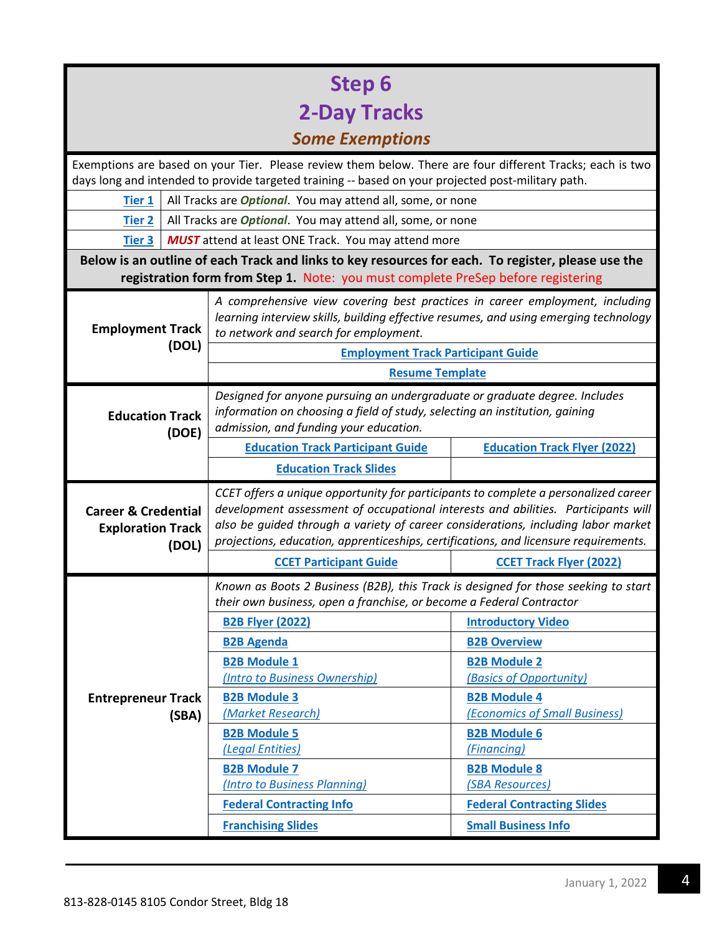| <b>Step 6</b>                                                                                                                                                                          |                                                                                                                                                                                                                 |                                                                                                                                                                                                                                                                                                                                                       |                                                      |  |
|----------------------------------------------------------------------------------------------------------------------------------------------------------------------------------------|-----------------------------------------------------------------------------------------------------------------------------------------------------------------------------------------------------------------|-------------------------------------------------------------------------------------------------------------------------------------------------------------------------------------------------------------------------------------------------------------------------------------------------------------------------------------------------------|------------------------------------------------------|--|
| <b>2-Day Tracks</b>                                                                                                                                                                    |                                                                                                                                                                                                                 |                                                                                                                                                                                                                                                                                                                                                       |                                                      |  |
| <b>Some Exemptions</b>                                                                                                                                                                 |                                                                                                                                                                                                                 |                                                                                                                                                                                                                                                                                                                                                       |                                                      |  |
|                                                                                                                                                                                        | Exemptions are based on your Tier. Please review them below. There are four different Tracks; each is two<br>days long and intended to provide targeted training -- based on your projected post-military path. |                                                                                                                                                                                                                                                                                                                                                       |                                                      |  |
| <b>Tier 1</b>                                                                                                                                                                          | All Tracks are <i>Optional</i> . You may attend all, some, or none                                                                                                                                              |                                                                                                                                                                                                                                                                                                                                                       |                                                      |  |
| <b>Tier 2</b>                                                                                                                                                                          | All Tracks are <i>Optional</i> . You may attend all, some, or none                                                                                                                                              |                                                                                                                                                                                                                                                                                                                                                       |                                                      |  |
| <b>Tier 3</b>                                                                                                                                                                          | <b>MUST</b> attend at least ONE Track. You may attend more                                                                                                                                                      |                                                                                                                                                                                                                                                                                                                                                       |                                                      |  |
| Below is an outline of each Track and links to key resources for each. To register, please use the<br>registration form from Step 1. Note: you must complete PreSep before registering |                                                                                                                                                                                                                 |                                                                                                                                                                                                                                                                                                                                                       |                                                      |  |
| <b>Employment Track</b>                                                                                                                                                                |                                                                                                                                                                                                                 | A comprehensive view covering best practices in career employment, including<br>learning interview skills, building effective resumes, and using emerging technology<br>to network and search for employment.                                                                                                                                         |                                                      |  |
|                                                                                                                                                                                        | (DOL)                                                                                                                                                                                                           | <b>Employment Track Participant Guide</b>                                                                                                                                                                                                                                                                                                             |                                                      |  |
|                                                                                                                                                                                        |                                                                                                                                                                                                                 | <b>Resume Template</b>                                                                                                                                                                                                                                                                                                                                |                                                      |  |
| <b>Education Track</b><br>(DOE)                                                                                                                                                        |                                                                                                                                                                                                                 | Designed for anyone pursuing an undergraduate or graduate degree. Includes<br>information on choosing a field of study, selecting an institution, gaining<br>admission, and funding your education.                                                                                                                                                   |                                                      |  |
|                                                                                                                                                                                        |                                                                                                                                                                                                                 | <b>Education Track Participant Guide</b>                                                                                                                                                                                                                                                                                                              | <b>Education Track Flyer (2022)</b>                  |  |
|                                                                                                                                                                                        |                                                                                                                                                                                                                 | <b>Education Track Slides</b>                                                                                                                                                                                                                                                                                                                         |                                                      |  |
| <b>Career &amp; Credential</b><br><b>Exploration Track</b><br>(DOL)                                                                                                                    |                                                                                                                                                                                                                 | CCET offers a unique opportunity for participants to complete a personalized career<br>development assessment of occupational interests and abilities. Participants will<br>also be guided through a variety of career considerations, including labor market<br>projections, education, apprenticeships, certifications, and licensure requirements. |                                                      |  |
|                                                                                                                                                                                        |                                                                                                                                                                                                                 | <b>CCET Participant Guide</b>                                                                                                                                                                                                                                                                                                                         | <b>CCET Track Flyer (2022)</b>                       |  |
|                                                                                                                                                                                        |                                                                                                                                                                                                                 | Known as Boots 2 Business (B2B), this Track is designed for those seeking to start<br>their own business, open a franchise, or become a Federal Contractor                                                                                                                                                                                            |                                                      |  |
|                                                                                                                                                                                        |                                                                                                                                                                                                                 | <b>B2B Flyer (2022)</b>                                                                                                                                                                                                                                                                                                                               | <b>Introductory Video</b>                            |  |
|                                                                                                                                                                                        |                                                                                                                                                                                                                 | <b>B2B Agenda</b>                                                                                                                                                                                                                                                                                                                                     | <b>B2B Overview</b>                                  |  |
|                                                                                                                                                                                        |                                                                                                                                                                                                                 | <b>B2B Module 1</b>                                                                                                                                                                                                                                                                                                                                   | <b>B2B Module 2</b>                                  |  |
|                                                                                                                                                                                        |                                                                                                                                                                                                                 | (Intro to Business Ownership)                                                                                                                                                                                                                                                                                                                         | (Basics of Opportunity)                              |  |
| <b>Entrepreneur Track</b>                                                                                                                                                              | (SBA)                                                                                                                                                                                                           | <b>B2B Module 3</b><br>(Market Research)                                                                                                                                                                                                                                                                                                              | <b>B2B Module 4</b><br>(Economics of Small Business) |  |
|                                                                                                                                                                                        |                                                                                                                                                                                                                 | <b>B2B Module 5</b>                                                                                                                                                                                                                                                                                                                                   | <b>B2B Module 6</b>                                  |  |
|                                                                                                                                                                                        |                                                                                                                                                                                                                 | (Legal Entities)                                                                                                                                                                                                                                                                                                                                      | (Financing)                                          |  |
|                                                                                                                                                                                        |                                                                                                                                                                                                                 | <b>B2B Module 7</b>                                                                                                                                                                                                                                                                                                                                   | <b>B2B Module 8</b>                                  |  |
|                                                                                                                                                                                        |                                                                                                                                                                                                                 | (Intro to Business Planning)                                                                                                                                                                                                                                                                                                                          | (SBA Resources)                                      |  |
|                                                                                                                                                                                        |                                                                                                                                                                                                                 | <b>Federal Contracting Info</b>                                                                                                                                                                                                                                                                                                                       | <b>Federal Contracting Slides</b>                    |  |
|                                                                                                                                                                                        |                                                                                                                                                                                                                 | <b>Franchising Slides</b>                                                                                                                                                                                                                                                                                                                             | <b>Small Business Info</b>                           |  |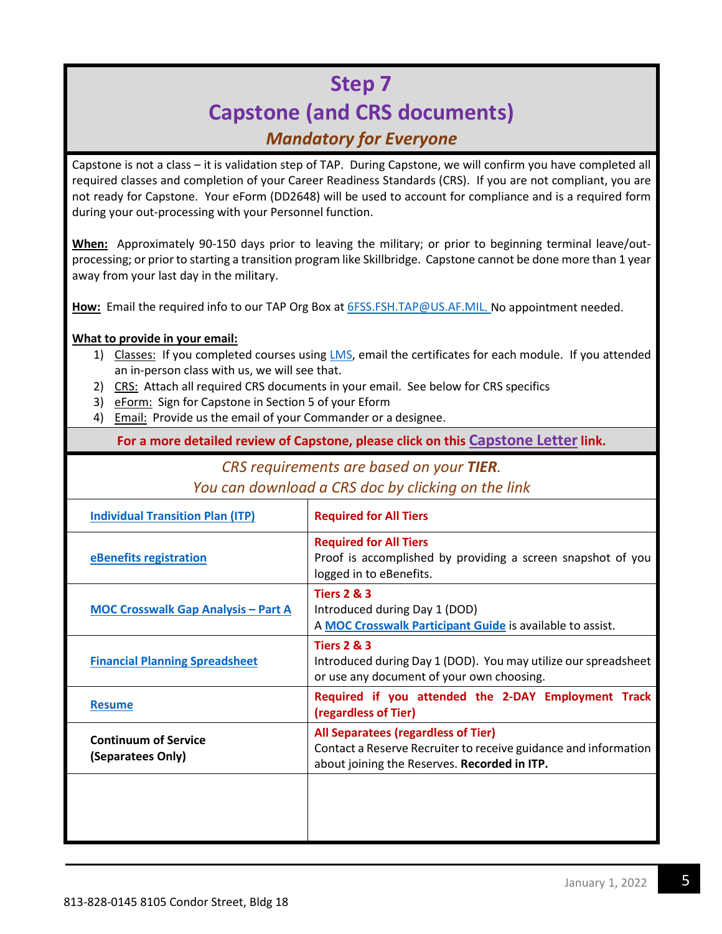### **Step 7 Capstone (and CRS documents)** *Mandatory for Everyone*

Capstone is not a class – it is validation step of TAP. During Capstone, we will confirm you have completed all required classes and completion of your Career Readiness Standards (CRS). If you are not compliant, you are not ready for Capstone. Your eForm (DD2648) will be used to account for compliance and is a required form during your out-processing with your Personnel function.

**When:** Approximately 90-150 days prior to leaving the military; or prior to beginning terminal leave/outprocessing; or prior to starting a transition program like Skillbridge. Capstone cannot be done more than 1 year away from your last day in the military.

**How:** Email the required info to our TAP Org Box a[t 6FSS.FSH.TAP@US.AF.MIL.](mailto:6FSS.FSH.TAP@US.AF.MIL) No appointment needed.

#### **What to provide in your email:**

- 1) Classes: If you completed courses using [LMS,](https://macdillfss.com/tap_lmsinstructions/) email the certificates for each module. If you attended an in-person class with us, we will see that.
- 2) CRS: Attach all required CRS documents in your email. See below for CRS specifics
- 3) eForm: Sign for Capstone in Section 5 of your Eform
- 4) Email: Provide us the email of your Commander or a designee.

**For a more detailed review of Capstone, please click on this [Capstone Letter](https://macdillfss.com/tap_capstoneletter/) link.** 

#### *CRS requirements are based on your TIER.*

#### *You can download a CRS doc by clicking on the link*

| <b>Individual Transition Plan (ITP)</b>          | <b>Required for All Tiers</b>                                                                                                                          |
|--------------------------------------------------|--------------------------------------------------------------------------------------------------------------------------------------------------------|
| eBenefits registration                           | <b>Required for All Tiers</b><br>Proof is accomplished by providing a screen snapshot of you<br>logged in to eBenefits.                                |
| <b>MOC Crosswalk Gap Analysis - Part A</b>       | <b>Tiers 2 &amp; 3</b><br>Introduced during Day 1 (DOD)<br>A MOC Crosswalk Participant Guide is available to assist.                                   |
| <b>Financial Planning Spreadsheet</b>            | <b>Tiers 2 &amp; 3</b><br>Introduced during Day 1 (DOD). You may utilize our spreadsheet<br>or use any document of your own choosing.                  |
| <b>Resume</b>                                    | Required if you attended the 2-DAY Employment Track<br>(regardless of Tier)                                                                            |
| <b>Continuum of Service</b><br>(Separatees Only) | All Separatees (regardless of Tier)<br>Contact a Reserve Recruiter to receive guidance and information<br>about joining the Reserves. Recorded in ITP. |
|                                                  |                                                                                                                                                        |